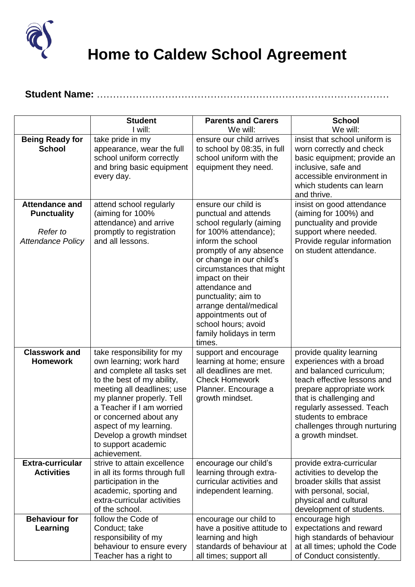

 **Home to Caldew School Agreement**

## **Student Name:** ………………………………………………………………………………

|                                                            | <b>Student</b>                                                                                                                                                                                                                                                                                     | <b>Parents and Carers</b>                                                                                                                                                                                                                                                                      | <b>School</b>                                                                                                                                                                                                                                       |
|------------------------------------------------------------|----------------------------------------------------------------------------------------------------------------------------------------------------------------------------------------------------------------------------------------------------------------------------------------------------|------------------------------------------------------------------------------------------------------------------------------------------------------------------------------------------------------------------------------------------------------------------------------------------------|-----------------------------------------------------------------------------------------------------------------------------------------------------------------------------------------------------------------------------------------------------|
|                                                            | I will:                                                                                                                                                                                                                                                                                            | We will:                                                                                                                                                                                                                                                                                       | We will:                                                                                                                                                                                                                                            |
| <b>Being Ready for</b><br><b>School</b>                    | take pride in my<br>appearance, wear the full<br>school uniform correctly<br>and bring basic equipment<br>every day.                                                                                                                                                                               | ensure our child arrives<br>to school by 08:35, in full<br>school uniform with the<br>equipment they need.                                                                                                                                                                                     | insist that school uniform is<br>worn correctly and check<br>basic equipment; provide an<br>inclusive, safe and<br>accessible environment in<br>which students can learn<br>and thrive.                                                             |
| <b>Attendance and</b>                                      | attend school regularly                                                                                                                                                                                                                                                                            | ensure our child is                                                                                                                                                                                                                                                                            | insist on good attendance                                                                                                                                                                                                                           |
| <b>Punctuality</b><br>Refer to<br><b>Attendance Policy</b> | (aiming for 100%<br>attendance) and arrive<br>promptly to registration<br>and all lessons.                                                                                                                                                                                                         | punctual and attends<br>school regularly (aiming<br>for 100% attendance);<br>inform the school<br>promptly of any absence<br>or change in our child's<br>circumstances that might<br>impact on their<br>attendance and<br>punctuality; aim to<br>arrange dental/medical<br>appointments out of | (aiming for 100%) and<br>punctuality and provide<br>support where needed.<br>Provide regular information<br>on student attendance.                                                                                                                  |
|                                                            |                                                                                                                                                                                                                                                                                                    | school hours; avoid<br>family holidays in term<br>times.                                                                                                                                                                                                                                       |                                                                                                                                                                                                                                                     |
| <b>Classwork and</b>                                       | take responsibility for my                                                                                                                                                                                                                                                                         | support and encourage                                                                                                                                                                                                                                                                          | provide quality learning                                                                                                                                                                                                                            |
| <b>Homework</b>                                            | own learning; work hard<br>and complete all tasks set<br>to the best of my ability,<br>meeting all deadlines; use<br>my planner properly. Tell<br>a Teacher if I am worried<br>or concerned about any<br>aspect of my learning.<br>Develop a growth mindset<br>to support academic<br>achievement. | learning at home; ensure<br>all deadlines are met.<br><b>Check Homework</b><br>Planner. Encourage a<br>growth mindset.                                                                                                                                                                         | experiences with a broad<br>and balanced curriculum;<br>teach effective lessons and<br>prepare appropriate work<br>that is challenging and<br>regularly assessed. Teach<br>students to embrace<br>challenges through nurturing<br>a growth mindset. |
| <b>Extra-curricular</b>                                    | strive to attain excellence                                                                                                                                                                                                                                                                        | encourage our child's                                                                                                                                                                                                                                                                          | provide extra-curricular                                                                                                                                                                                                                            |
| <b>Activities</b>                                          | in all its forms through full<br>participation in the<br>academic, sporting and<br>extra-curricular activities<br>of the school.                                                                                                                                                                   | learning through extra-<br>curricular activities and<br>independent learning.                                                                                                                                                                                                                  | activities to develop the<br>broader skills that assist<br>with personal, social,<br>physical and cultural<br>development of students.                                                                                                              |
| <b>Behaviour for</b>                                       | follow the Code of                                                                                                                                                                                                                                                                                 | encourage our child to                                                                                                                                                                                                                                                                         | encourage high                                                                                                                                                                                                                                      |
| Learning                                                   | Conduct; take<br>responsibility of my<br>behaviour to ensure every<br>Teacher has a right to                                                                                                                                                                                                       | have a positive attitude to<br>learning and high<br>standards of behaviour at<br>all times; support all                                                                                                                                                                                        | expectations and reward<br>high standards of behaviour<br>at all times; uphold the Code<br>of Conduct consistently.                                                                                                                                 |